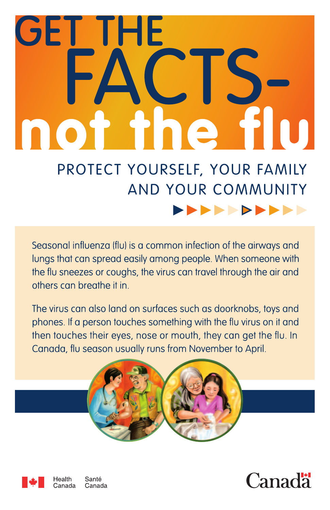# **GET THE** Ŧ. PROTECT YOURSELF, YOUR FAMILY

## **AND YOUR COMMUNITY**

**.........** 

Seasonal influenza (flu) is a common infection of the airways and lungs that can spread easily among people. When someone with the flu sneezes or coughs, the virus can travel through the air and others can breathe it in.

The virus can also land on surfaces such as doorknobs, toys and phones. If a person touches something with the flu virus on it and then touches their eyes, nose or mouth, they can get the flu. In Canada, flu season usually runs from November to April.





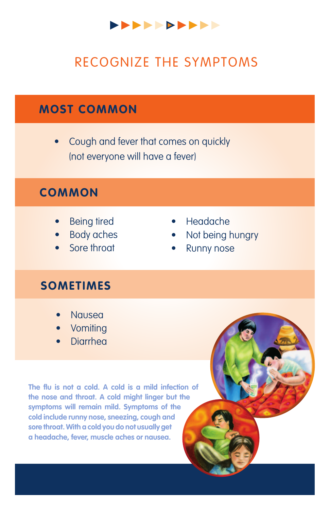

## reCogniZe the syMptoMs

#### **MOSt COMMOn**

Cough and fever that comes on quickly (not everyone will have a fever)

#### **COMMOn**

- **Being tired**
- Body aches
- Sore throat
- • Headache
- Not being hungry
- **Runny nose**

#### **SOMETIMES**

- **Nausea**
- Vomiting
- **Diarrhea**

The flu is not a cold. A cold is a mild infection of **the nose and throat. a cold might linger but the symptoms will remain mild. Symptoms of the cold include runny nose, sneezing, cough and sore throat. with a cold you do not usually get a headache, fever, muscle aches or nausea.**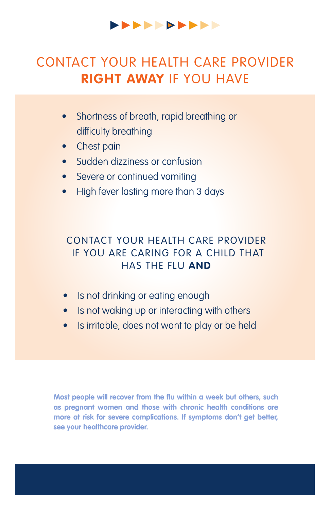#### **----------**

## Contact your health care provider **right away** if you have

- Shortness of breath, rapid breathing or difficulty breathing
- Chest pain
- Sudden dizziness or confusion
- Severe or continued vomiting
- High fever lasting more than 3 days

#### Contact your health care provider if you are caring for a child that has the flu **And**

- Is not drinking or eating enough
- Is not waking up or interacting with others
- Is irritable; does not want to play or be held

**Most people will recover from the flu within a week but others, such as pregnant women and those with chronic health conditions are more at risk for severe complications. If symptoms don't get better, see your healthcare provider.**